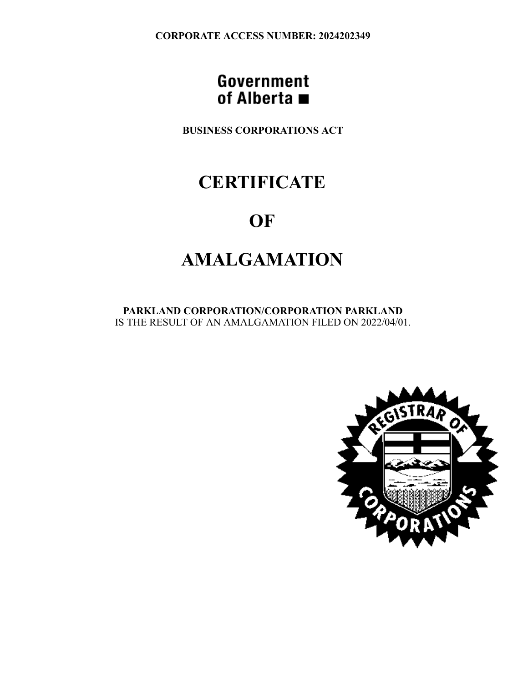**CORPORATE ACCESS NUMBER: 2024202349**

### Government of Alberta  $\blacksquare$

**BUSINESS CORPORATIONS ACT**

# **CERTIFICATE**

## **OF**

# **AMALGAMATION**

**PARKLAND CORPORATION/CORPORATION PARKLAND** IS THE RESULT OF AN AMALGAMATION FILED ON 2022/04/01.

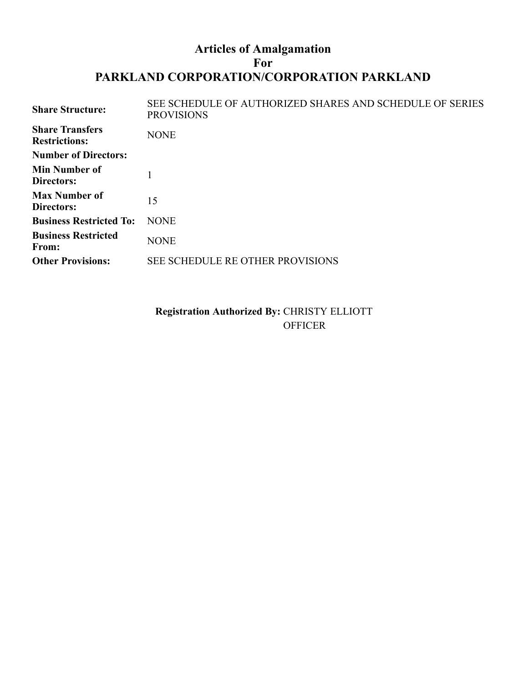#### **Articles of Amalgamation For PARKLAND CORPORATION/CORPORATION PARKLAND**

| <b>Share Structure:</b>                        | SEE SCHEDULE OF AUTHORIZED SHARES AND SCHEDULE OF SERIES<br><b>PROVISIONS</b> |
|------------------------------------------------|-------------------------------------------------------------------------------|
| <b>Share Transfers</b><br><b>Restrictions:</b> | <b>NONE</b>                                                                   |
| <b>Number of Directors:</b>                    |                                                                               |
| <b>Min Number of</b><br><b>Directors:</b>      |                                                                               |
| <b>Max Number of</b><br>Directors:             | 15                                                                            |
| <b>Business Restricted To:</b>                 | <b>NONE</b>                                                                   |
| <b>Business Restricted</b><br>From:            | <b>NONE</b>                                                                   |
| <b>Other Provisions:</b>                       | SEE SCHEDULE RE OTHER PROVISIONS                                              |
|                                                |                                                                               |

**Registration Authorized By:** CHRISTY ELLIOTT OFFICER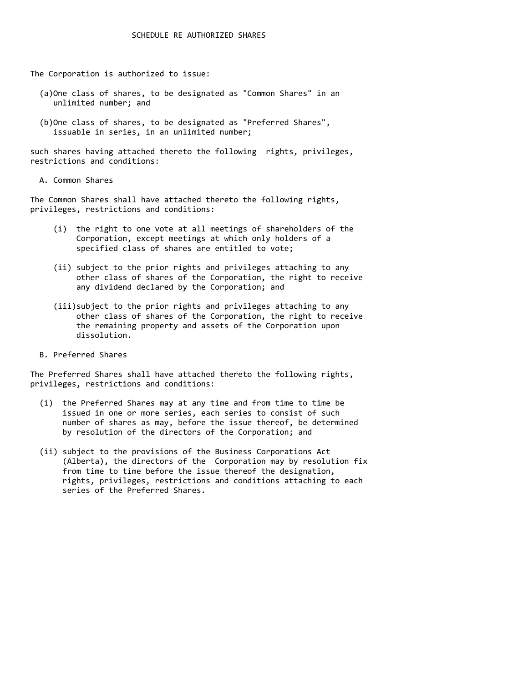The Corporation is authorized to issue:

- (a)One class of shares, to be designated as "Common Shares" in an unlimited number; and
- (b)One class of shares, to be designated as "Preferred Shares", issuable in series, in an unlimited number;

such shares having attached thereto the following rights, privileges, restrictions and conditions:

A. Common Shares

The Common Shares shall have attached thereto the following rights, privileges, restrictions and conditions:

- (i) the right to one vote at all meetings of shareholders of the Corporation, except meetings at which only holders of a specified class of shares are entitled to vote;
- (ii) subject to the prior rights and privileges attaching to any other class of shares of the Corporation, the right to receive any dividend declared by the Corporation; and
- (iii)subject to the prior rights and privileges attaching to any other class of shares of the Corporation, the right to receive the remaining property and assets of the Corporation upon dissolution.
- B. Preferred Shares

The Preferred Shares shall have attached thereto the following rights, privileges, restrictions and conditions:

- (i) the Preferred Shares may at any time and from time to time be issued in one or more series, each series to consist of such number of shares as may, before the issue thereof, be determined by resolution of the directors of the Corporation; and
- (ii) subject to the provisions of the Business Corporations Act (Alberta), the directors of the Corporation may by resolution fix from time to time before the issue thereof the designation, rights, privileges, restrictions and conditions attaching to each series of the Preferred Shares.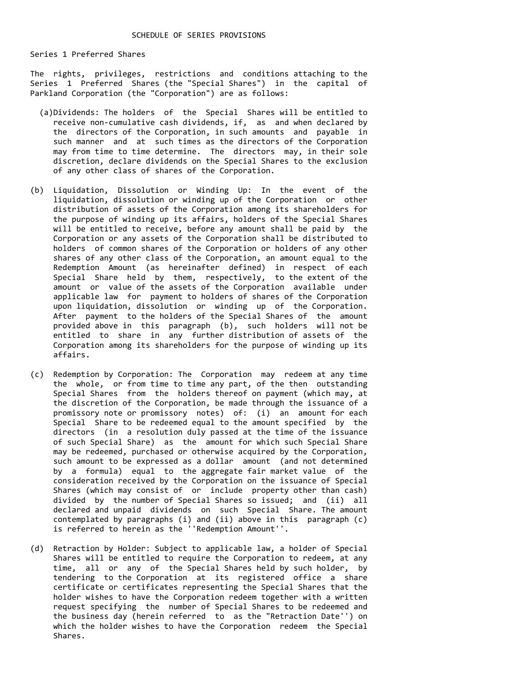Series 1 Preferred Shares

The rights, privileges, restrictions and conditions attaching to the Series 1 Preferred Shares (the "Special Shares") in the capital of Parkland Corporation (the "Corporation") are as follows:

- (a)Dividends: The holders of the Special Shares will be entitled to receive non-cumulative cash dividends, if, as and when declared by the directors of the Corporation, in such amounts and payable in such manner and at such times as the directors of the Corporation may from time to time determine. The directors may, in their sole discretion, declare dividends on the Special Shares to the exclusion of any other class of shares of the Corporation.
- (b) Liquidation, Dissolution or Winding Up: In the event of the liquidation, dissolution or winding up of the Corporation or other distribution of assets of the Corporation among its shareholders for the purpose of winding up its affairs, holders of the Special Shares will be entitled to receive, before any amount shall be paid by the Corporation or any assets of the Corporation shall be distributed to holders of common shares of the Corporation or holders of any other shares of any other class of the Corporation, an amount equal to the Redemption Amount (as hereinafter defined) in respect of each Special Share held by them, respectively, to the extent of the amount or value of the assets of the Corporation available under applicable law for payment to holders of shares of the Corporation upon liquidation, dissolution or winding up of the Corporation. After payment to the holders of the Special Shares of the amount provided above in this paragraph (b), such holders will not be entitled to share in any further distribution of assets of the Corporation among its shareholders for the purpose of winding up its affairs.
- (c) Redemption by Corporation: The Corporation may redeem at any time the whole, or from time to time any part, of the then outstanding Special Shares from the holders thereof on payment (which may, at the discretion of the Corporation, be made through the issuance of a promissory note or promissory notes) of: (i) an amount for each Special Share to be redeemed equal to the amount specified by the directors (in a resolution duly passed at the time of the issuance of such Special Share) as the amount for which such Special Share may be redeemed, purchased or otherwise acquired by the Corporation, such amount to be expressed as a dollar amount (and not determined by a formula) equal to the aggregate fair market value of the consideration received by the Corporation on the issuance of Special Shares (which may consist of or include property other than cash) divided by the number of Special Shares so issued; and (ii) all declared and unpaid dividends on such Special Share. The amount contemplated by paragraphs (i) and (ii) above in this paragraph (c) is referred to herein as the ''Redemption Amount''.
- (d) Retraction by Holder: Subject to applicable law, a holder of Special Shares will be entitled to require the Corporation to redeem, at any time, all or any of the Special Shares held by such holder, by tendering to the Corporation at its registered office a share certificate or certificates representing the Special Shares that the holder wishes to have the Corporation redeem together with a written request specifying the number of Special Shares to be redeemed and the business day (herein referred to as the "Retraction Date'') on which the holder wishes to have the Corporation redeem the Special Shares.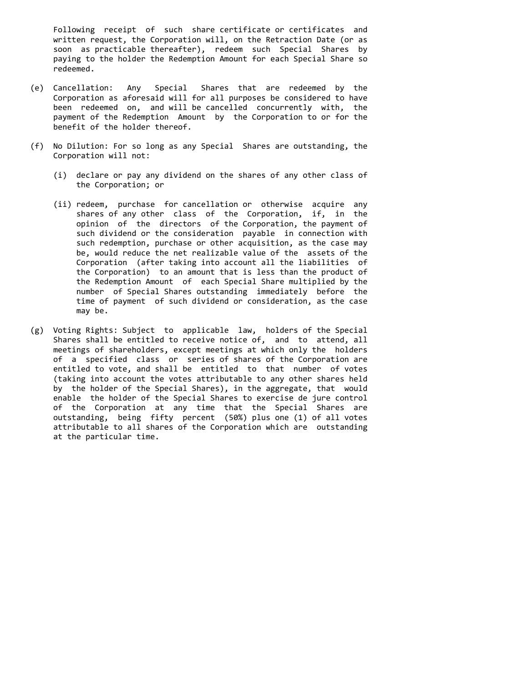Following receipt of such share certificate or certificates and written request, the Corporation will, on the Retraction Date (or as soon as practicable thereafter), redeem such Special Shares by paying to the holder the Redemption Amount for each Special Share so redeemed.

- (e) Cancellation: Any Special Shares that are redeemed by the Corporation as aforesaid will for all purposes be considered to have been redeemed on, and will be cancelled concurrently with, the payment of the Redemption Amount by the Corporation to or for the benefit of the holder thereof.
- (f) No Dilution: For so long as any Special Shares are outstanding, the Corporation will not:
	- (i) declare or pay any dividend on the shares of any other class of the Corporation; or
	- (ii) redeem, purchase for cancellation or otherwise acquire any shares of any other class of the Corporation, if, in the opinion of the directors of the Corporation, the payment of such dividend or the consideration payable in connection with such redemption, purchase or other acquisition, as the case may be, would reduce the net realizable value of the assets of the Corporation (after taking into account all the liabilities of the Corporation) to an amount that is less than the product of the Redemption Amount of each Special Share multiplied by the number of Special Shares outstanding immediately before the time of payment of such dividend or consideration, as the case may be.
- (g) Voting Rights: Subject to applicable law, holders of the Special Shares shall be entitled to receive notice of, and to attend, all meetings of shareholders, except meetings at which only the holders of a specified class or series of shares of the Corporation are entitled to vote, and shall be entitled to that number of votes (taking into account the votes attributable to any other shares held by the holder of the Special Shares), in the aggregate, that would enable the holder of the Special Shares to exercise de jure control of the Corporation at any time that the Special Shares are outstanding, being fifty percent (50%) plus one (1) of all votes attributable to all shares of the Corporation which are outstanding at the particular time.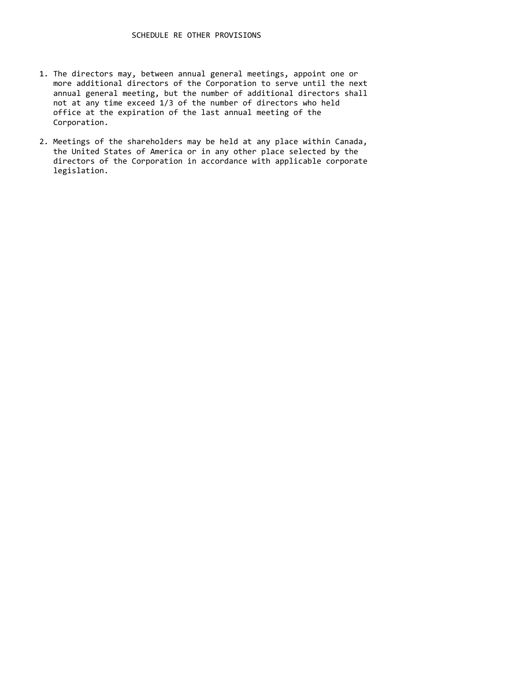- 1. The directors may, between annual general meetings, appoint one or more additional directors of the Corporation to serve until the next annual general meeting, but the number of additional directors shall not at any time exceed 1/3 of the number of directors who held office at the expiration of the last annual meeting of the Corporation.
- 2. Meetings of the shareholders may be held at any place within Canada, the United States of America or in any other place selected by the directors of the Corporation in accordance with applicable corporate legislation.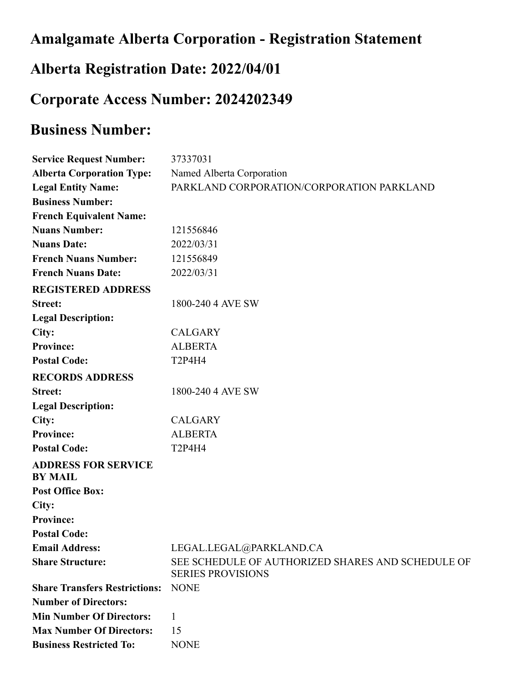## **Amalgamate Alberta Corporation - Registration Statement**

### **Alberta Registration Date: 2022/04/01**

### **Corporate Access Number: 2024202349**

## **Business Number:**

| <b>Service Request Number:</b>               | 37337031                                                                      |
|----------------------------------------------|-------------------------------------------------------------------------------|
| <b>Alberta Corporation Type:</b>             | Named Alberta Corporation                                                     |
| <b>Legal Entity Name:</b>                    | PARKLAND CORPORATION/CORPORATION PARKLAND                                     |
| <b>Business Number:</b>                      |                                                                               |
| <b>French Equivalent Name:</b>               |                                                                               |
| <b>Nuans Number:</b>                         | 121556846                                                                     |
| <b>Nuans Date:</b>                           | 2022/03/31                                                                    |
| <b>French Nuans Number:</b>                  | 121556849                                                                     |
| <b>French Nuans Date:</b>                    | 2022/03/31                                                                    |
| <b>REGISTERED ADDRESS</b>                    |                                                                               |
| <b>Street:</b>                               | 1800-240 4 AVE SW                                                             |
| <b>Legal Description:</b>                    |                                                                               |
| City:                                        | <b>CALGARY</b>                                                                |
| <b>Province:</b>                             | <b>ALBERTA</b>                                                                |
| <b>Postal Code:</b>                          | <b>T2P4H4</b>                                                                 |
| <b>RECORDS ADDRESS</b>                       |                                                                               |
| <b>Street:</b>                               | 1800-240 4 AVE SW                                                             |
| <b>Legal Description:</b>                    |                                                                               |
| City:                                        | <b>CALGARY</b>                                                                |
| <b>Province:</b>                             | <b>ALBERTA</b>                                                                |
| <b>Postal Code:</b>                          | <b>T2P4H4</b>                                                                 |
| <b>ADDRESS FOR SERVICE</b><br><b>BY MAIL</b> |                                                                               |
| <b>Post Office Box:</b>                      |                                                                               |
| City:                                        |                                                                               |
| <b>Province:</b>                             |                                                                               |
| <b>Postal Code:</b>                          |                                                                               |
| <b>Email Address:</b>                        | LEGAL.LEGAL@PARKLAND.CA                                                       |
| <b>Share Structure:</b>                      | SEE SCHEDULE OF AUTHORIZED SHARES AND SCHEDULE OF<br><b>SERIES PROVISIONS</b> |
| <b>Share Transfers Restrictions:</b>         | <b>NONE</b>                                                                   |
| <b>Number of Directors:</b>                  |                                                                               |
| <b>Min Number Of Directors:</b>              | 1                                                                             |
| <b>Max Number Of Directors:</b>              | 15                                                                            |
| <b>Business Restricted To:</b>               | <b>NONE</b>                                                                   |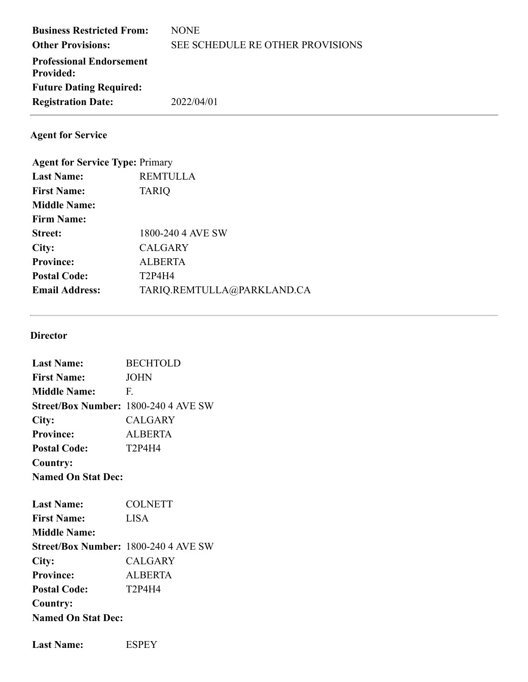| <b>Business Restricted From:</b><br><b>Other Provisions:</b> | <b>NONE</b><br>SEE SCHEDULE RE OTHER PROVISIONS |
|--------------------------------------------------------------|-------------------------------------------------|
| <b>Professional Endorsement</b><br><b>Provided:</b>          |                                                 |
| <b>Future Dating Required:</b>                               |                                                 |
| <b>Registration Date:</b>                                    | 2022/04/01                                      |

**Agent for Service**

| <b>Agent for Service Type: Primary</b> |
|----------------------------------------|
| <b>REMTULLA</b>                        |
| <b>TARIQ</b>                           |
|                                        |
|                                        |
| 1800-240 4 AVE SW                      |
| <b>CALGARY</b>                         |
| <b>ALBERTA</b>                         |
| T2P4H4                                 |
| TARIQ.REMTULLA@PARKLAND.CA             |
|                                        |

#### **Director**

| <b>Last Name:</b>         | <b>BECHTOLD</b>                      |
|---------------------------|--------------------------------------|
| <b>First Name:</b>        | <b>JOHN</b>                          |
| <b>Middle Name:</b>       | F.                                   |
|                           | Street/Box Number: 1800-240 4 AVE SW |
| City:                     | <b>CALGARY</b>                       |
| <b>Province:</b>          | <b>ALBERTA</b>                       |
| <b>Postal Code:</b>       | <b>T2P4H4</b>                        |
| Country:                  |                                      |
| <b>Named On Stat Dec:</b> |                                      |
| <b>Last Name:</b>         | <b>COLNETT</b>                       |
| <b>First Name:</b>        | <b>LISA</b>                          |
| <b>Middle Name:</b>       |                                      |
|                           | Street/Box Number: 1800-240 4 AVE SW |
| City:                     | <b>CALGARY</b>                       |
| <b>Province:</b>          | <b>ALBERTA</b>                       |
| <b>Postal Code:</b>       | T2P4H4                               |
| Country:                  |                                      |
| <b>Named On Stat Dec:</b> |                                      |
|                           |                                      |

Last Name: ESPEY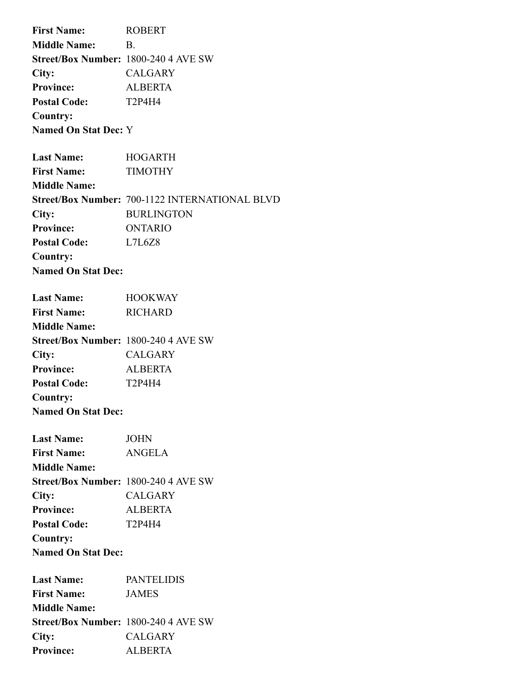**First Name:** ROBERT **Middle Name:** B. **Street/Box Number:** 1800-240 4 AVE SW **City:** CALGARY **Province:** ALBERTA **Postal Code:** T2P4H4 **Country: Named On Stat Dec:** Y

| <b>Last Name:</b>         | <b>HOGARTH</b>                                        |
|---------------------------|-------------------------------------------------------|
| <b>First Name:</b>        | TIMOTHY                                               |
| <b>Middle Name:</b>       |                                                       |
|                           | <b>Street/Box Number: 700-1122 INTERNATIONAL BLVD</b> |
| City:                     | <b>BURLINGTON</b>                                     |
| <b>Province:</b>          | ONTARIO                                               |
| <b>Postal Code:</b>       | L7L6Z8                                                |
| Country:                  |                                                       |
| <b>Named On Stat Dec:</b> |                                                       |

| <b>Last Name:</b>         | <b>HOOKWAY</b>                              |
|---------------------------|---------------------------------------------|
| <b>First Name:</b>        | <b>RICHARD</b>                              |
| <b>Middle Name:</b>       |                                             |
|                           | <b>Street/Box Number: 1800-240 4 AVE SW</b> |
| City:                     | CALGARY                                     |
| <b>Province:</b>          | <b>ALBERTA</b>                              |
| <b>Postal Code:</b>       | T2P4H4                                      |
| Country:                  |                                             |
| <b>Named On Stat Dec:</b> |                                             |

| <b>Last Name:</b>                           | <b>JOHN</b>    |
|---------------------------------------------|----------------|
| <b>First Name:</b>                          | ANGELA         |
| <b>Middle Name:</b>                         |                |
| <b>Street/Box Number: 1800-240 4 AVE SW</b> |                |
| City:                                       | <b>CALGARY</b> |
| <b>Province:</b>                            | <b>ALBERTA</b> |
| <b>Postal Code:</b>                         | T2P4H4         |
| Country:                                    |                |
| <b>Named On Stat Dec:</b>                   |                |

| <b>Last Name:</b>                           | <b>PANTELIDIS</b> |
|---------------------------------------------|-------------------|
| <b>First Name:</b>                          | <b>JAMES</b>      |
| <b>Middle Name:</b>                         |                   |
| <b>Street/Box Number: 1800-240 4 AVE SW</b> |                   |
| City:                                       | <b>CALGARY</b>    |
| <b>Province:</b>                            | ALBERTA           |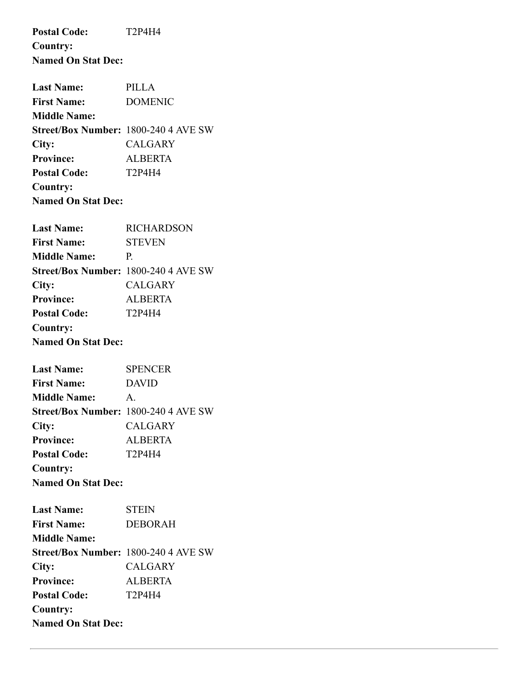**Postal Code:** T2P4H4 **Country: Named On Stat Dec: Last Name:** PILLA **First Name:** DOMENIC **Middle Name: Street/Box Number:** 1800-240 4 AVE SW **City:** CALGARY **Province:** ALBERTA **Postal Code:** T2P4H4 **Country: Named On Stat Dec: Last Name:** RICHARDSON **First Name:** STEVEN **Middle Name:** P. **Street/Box Number:** 1800-240 4 AVE SW **City:** CALGARY **Province:** ALBERTA **Postal Code:** T2P4H4 **Country: Named On Stat Dec: Last Name:** SPENCER **First Name:** DAVID **Middle Name:** A. **Street/Box Number:** 1800-240 4 AVE SW **City:** CALGARY **Province:** ALBERTA **Postal Code:** T2P4H4 **Country: Named On Stat Dec:**

| <b>Last Name:</b>                           | <b>STEIN</b>   |
|---------------------------------------------|----------------|
| <b>First Name:</b>                          | <b>DEBORAH</b> |
| <b>Middle Name:</b>                         |                |
| <b>Street/Box Number: 1800-240 4 AVE SW</b> |                |
| City:                                       | <b>CALGARY</b> |
| <b>Province:</b>                            | <b>ALBERTA</b> |
| <b>Postal Code:</b>                         | T2P4H4         |
| Country:                                    |                |
| <b>Named On Stat Dec:</b>                   |                |